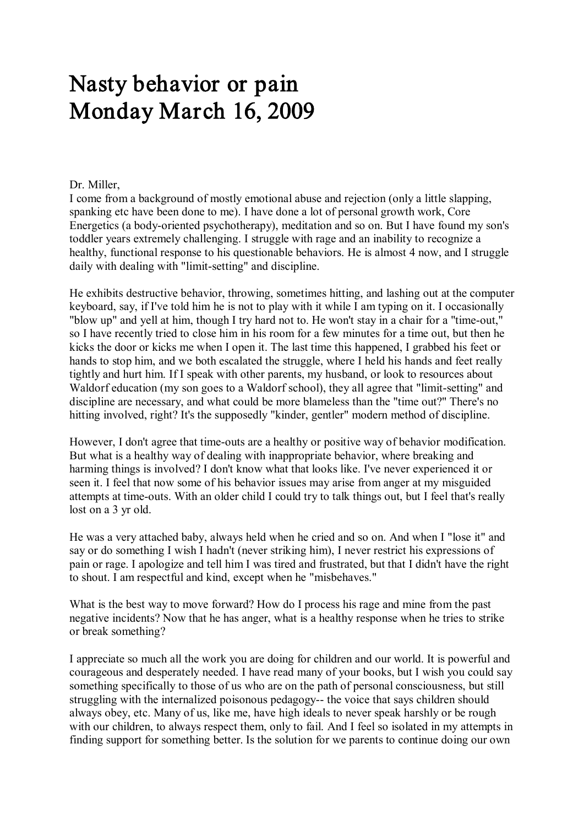## Nasty behavior or pain Monday March 16, 2009

## Dr. Miller,

I come from a background of mostly emotional abuse and rejection (only a little slapping, spanking etc have been done to me). I have done a lot of personal growth work, Core Energetics (a body-oriented psychotherapy), meditation and so on. But I have found my son's toddler years extremely challenging. I struggle with rage and an inability to recognize a healthy, functional response to his questionable behaviors. He is almost 4 now, and I struggle daily with dealing with "limit-setting" and discipline.

He exhibits destructive behavior, throwing, sometimes hitting, and lashing out at the computer keyboard, say, if I've told him he is not to play with it while I am typing on it. I occasionally "blow up" and yell at him, though I try hard not to. He won't stay in a chair for a "time-out," so I have recently tried to close him in his room for a few minutes for a time out, but then he kicks the door or kicks me when Iopen it. The last time this happened, I grabbed his feet or hands to stop him, and we both escalated the struggle, where I held his hands and feet really tightly and hurt him. If I speak with other parents, my husband, or look to resources about Waldorf education (my son goes to a Waldorf school), they all agree that "limit-setting" and discipline are necessary, and what could be more blameless than the "time out?" There's no hitting involved, right? It's the supposedly "kinder, gentler" modern method of discipline.

However, I don't agree that time-outs are a healthy or positive way of behavior modification. But what is a healthy way of dealing with inappropriate behavior, where breaking and harming things is involved? I don't know what that looks like. I've never experienced it or seen it. I feel that now some of his behavior issues may arise from anger at my misguided attempts at time-outs. With an older child I could try to talk things out, but I feel that's really lost on a 3 yr old.

He was a very attached baby, always held when he cried and so on. And when I "lose it" and say or do something I wish I hadn't (never striking him), I never restrict his expressions of pain or rage. I apologize and tell him I was tired and frustrated, but that I didn't have the right to shout. I am respectful and kind, except when he "misbehaves."

What is the best way to move forward? How do I process his rage and mine from the past negative incidents? Now that he has anger, what is a healthy response when he tries to strike or break something?

I appreciate so much all the work you are doing for children and our world. It is powerful and courageous and desperately needed. I have read many of your books, but I wish you could say something specifically to those of us who are on the path of personal consciousness, but still struggling with the internalized poisonous pedagogy-- the voice that says children should always obey, etc. Many of us, like me, have high ideals to never speak harshly or be rough with our children, to always respect them, only to fail. And I feel so isolated in my attempts in finding support for something better. Is the solution for we parents to continue doing our own